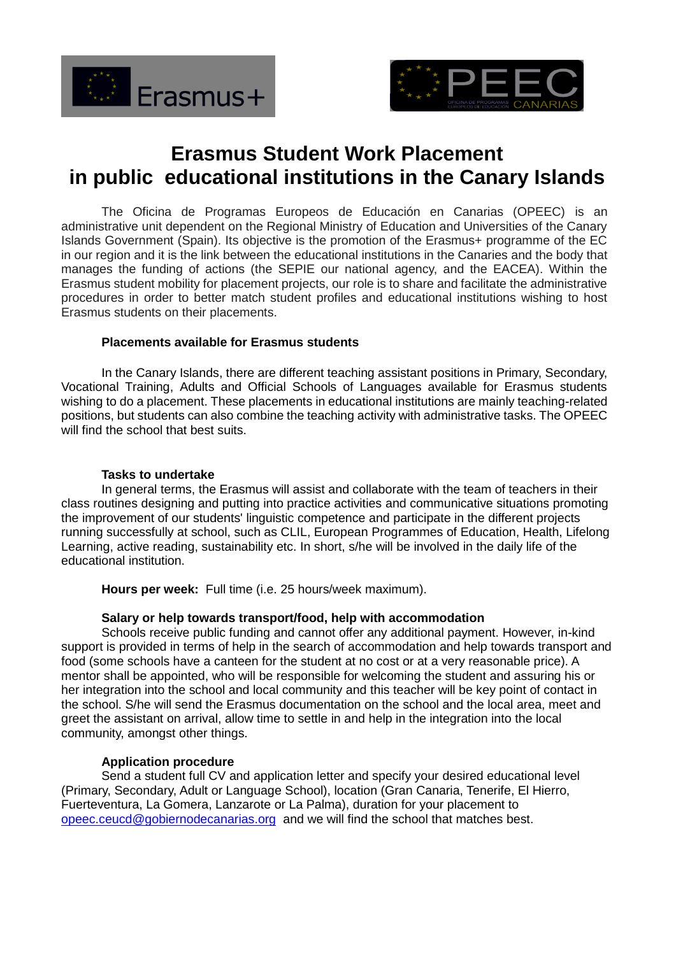



# **Erasmus Student Work Placement in public educational institutions in the Canary Islands**

The Oficina de Programas Europeos de Educación en Canarias (OPEEC) is an administrative unit dependent on the Regional Ministry of Education and Universities of the Canary Islands Government (Spain). Its objective is the promotion of the Erasmus+ programme of the EC in our region and it is the link between the educational institutions in the Canaries and the body that manages the funding of actions (the SEPIE our national agency, and the EACEA). Within the Erasmus student mobility for placement projects, our role is to share and facilitate the administrative procedures in order to better match student profiles and educational institutions wishing to host Erasmus students on their placements.

### **Placements available for Erasmus students**

In the Canary Islands, there are different teaching assistant positions in Primary, Secondary, Vocational Training, Adults and Official Schools of Languages available for Erasmus students wishing to do a placement. These placements in educational institutions are mainly teaching-related positions, but students can also combine the teaching activity with administrative tasks. The OPEEC will find the school that best suits.

#### **Tasks to undertake**

In general terms, the Erasmus will assist and collaborate with the team of teachers in their class routines designing and putting into practice activities and communicative situations promoting the improvement of our students' linguistic competence and participate in the different projects running successfully at school, such as CLIL, European Programmes of Education, Health, Lifelong Learning, active reading, sustainability etc. In short, s/he will be involved in the daily life of the educational institution.

**Hours per week:** Full time (i.e. 25 hours/week maximum).

## **Salary or help towards transport/food, help with accommodation**

Schools receive public funding and cannot offer any additional payment. However, in-kind support is provided in terms of help in the search of accommodation and help towards transport and food (some schools have a canteen for the student at no cost or at a very reasonable price). A mentor shall be appointed, who will be responsible for welcoming the student and assuring his or her integration into the school and local community and this teacher will be key point of contact in the school. S/he will send the Erasmus documentation on the school and the local area, meet and greet the assistant on arrival, allow time to settle in and help in the integration into the local community, amongst other things.

## **Application procedure**

Send a student full CV and application letter and specify your desired educational level (Primary, Secondary, Adult or Language School), location (Gran Canaria, Tenerife, El Hierro, Fuerteventura, La Gomera, Lanzarote or La Palma), duration for your placement to [opeec.ceucd@gobiernodecanarias.org](mailto:opeec.ceucd@gobiernodecanarias.org) and we will find the school that matches best.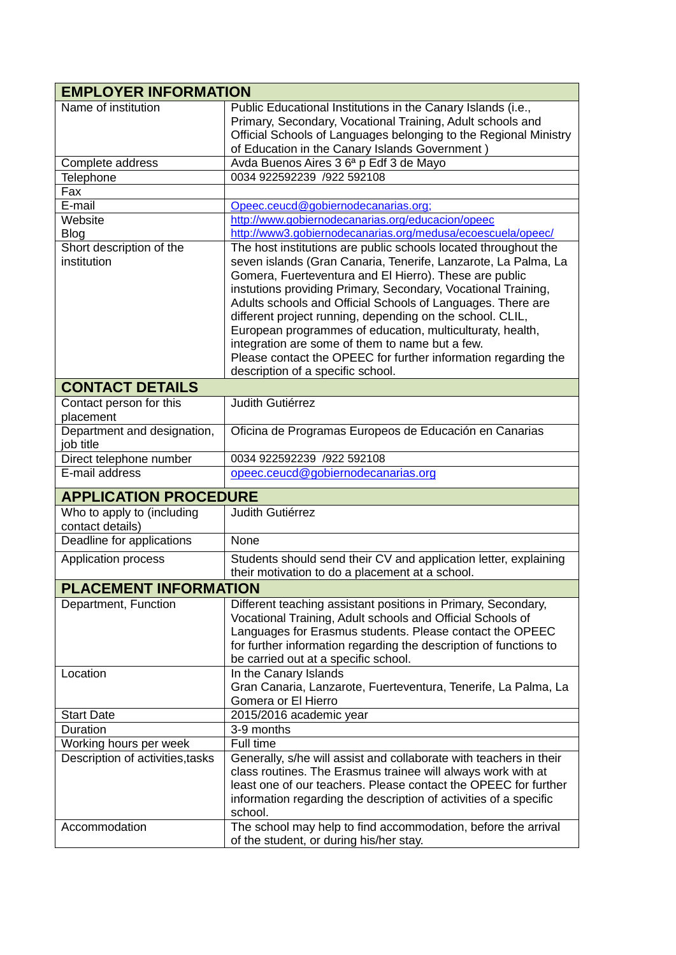| <b>EMPLOYER INFORMATION</b>                    |                                                                                                                                                                                                                                                                                                                                                                                                                                                                                                                                                                                                                 |
|------------------------------------------------|-----------------------------------------------------------------------------------------------------------------------------------------------------------------------------------------------------------------------------------------------------------------------------------------------------------------------------------------------------------------------------------------------------------------------------------------------------------------------------------------------------------------------------------------------------------------------------------------------------------------|
| Name of institution                            | Public Educational Institutions in the Canary Islands (i.e.,<br>Primary, Secondary, Vocational Training, Adult schools and<br>Official Schools of Languages belonging to the Regional Ministry<br>of Education in the Canary Islands Government)                                                                                                                                                                                                                                                                                                                                                                |
| Complete address                               | Avda Buenos Aires 3 6ª p Edf 3 de Mayo                                                                                                                                                                                                                                                                                                                                                                                                                                                                                                                                                                          |
| Telephone                                      | 0034 922592239 /922 592108                                                                                                                                                                                                                                                                                                                                                                                                                                                                                                                                                                                      |
| Fax                                            |                                                                                                                                                                                                                                                                                                                                                                                                                                                                                                                                                                                                                 |
| E-mail                                         | Opeec.ceucd@gobiernodecanarias.org;                                                                                                                                                                                                                                                                                                                                                                                                                                                                                                                                                                             |
| Website                                        | http://www.gobiernodecanarias.org/educacion/opeec                                                                                                                                                                                                                                                                                                                                                                                                                                                                                                                                                               |
| Blog                                           | http://www3.gobiernodecanarias.org/medusa/ecoescuela/opeec/                                                                                                                                                                                                                                                                                                                                                                                                                                                                                                                                                     |
| Short description of the<br>institution        | The host institutions are public schools located throughout the<br>seven islands (Gran Canaria, Tenerife, Lanzarote, La Palma, La<br>Gomera, Fuerteventura and El Hierro). These are public<br>instutions providing Primary, Secondary, Vocational Training,<br>Adults schools and Official Schools of Languages. There are<br>different project running, depending on the school. CLIL,<br>European programmes of education, multiculturaty, health,<br>integration are some of them to name but a few.<br>Please contact the OPEEC for further information regarding the<br>description of a specific school. |
| <b>CONTACT DETAILS</b>                         |                                                                                                                                                                                                                                                                                                                                                                                                                                                                                                                                                                                                                 |
| Contact person for this<br>placement           | Judith Gutiérrez                                                                                                                                                                                                                                                                                                                                                                                                                                                                                                                                                                                                |
| Department and designation,<br>job title       | Oficina de Programas Europeos de Educación en Canarias                                                                                                                                                                                                                                                                                                                                                                                                                                                                                                                                                          |
| Direct telephone number                        | 0034 922592239 /922 592108                                                                                                                                                                                                                                                                                                                                                                                                                                                                                                                                                                                      |
| E-mail address                                 | opeec.ceucd@gobiernodecanarias.org                                                                                                                                                                                                                                                                                                                                                                                                                                                                                                                                                                              |
| <b>APPLICATION PROCEDURE</b>                   |                                                                                                                                                                                                                                                                                                                                                                                                                                                                                                                                                                                                                 |
| Who to apply to (including<br>contact details) | Judith Gutiérrez                                                                                                                                                                                                                                                                                                                                                                                                                                                                                                                                                                                                |
| Deadline for applications                      | None                                                                                                                                                                                                                                                                                                                                                                                                                                                                                                                                                                                                            |
| Application process                            | Students should send their CV and application letter, explaining<br>their motivation to do a placement at a school.                                                                                                                                                                                                                                                                                                                                                                                                                                                                                             |
| <b>PLACEMENT INFORMATION</b>                   |                                                                                                                                                                                                                                                                                                                                                                                                                                                                                                                                                                                                                 |
| Department, Function                           | Different teaching assistant positions in Primary, Secondary,<br>Vocational Training, Adult schools and Official Schools of<br>Languages for Erasmus students. Please contact the OPEEC<br>for further information regarding the description of functions to<br>be carried out at a specific school.                                                                                                                                                                                                                                                                                                            |
| Location                                       | In the Canary Islands<br>Gran Canaria, Lanzarote, Fuerteventura, Tenerife, La Palma, La<br>Gomera or El Hierro                                                                                                                                                                                                                                                                                                                                                                                                                                                                                                  |
| <b>Start Date</b>                              | 2015/2016 academic year                                                                                                                                                                                                                                                                                                                                                                                                                                                                                                                                                                                         |
| Duration                                       | 3-9 months                                                                                                                                                                                                                                                                                                                                                                                                                                                                                                                                                                                                      |
| Working hours per week                         | Full time                                                                                                                                                                                                                                                                                                                                                                                                                                                                                                                                                                                                       |
| Description of activities, tasks               | Generally, s/he will assist and collaborate with teachers in their<br>class routines. The Erasmus trainee will always work with at<br>least one of our teachers. Please contact the OPEEC for further<br>information regarding the description of activities of a specific<br>school.                                                                                                                                                                                                                                                                                                                           |
| Accommodation                                  | The school may help to find accommodation, before the arrival<br>of the student, or during his/her stay.                                                                                                                                                                                                                                                                                                                                                                                                                                                                                                        |